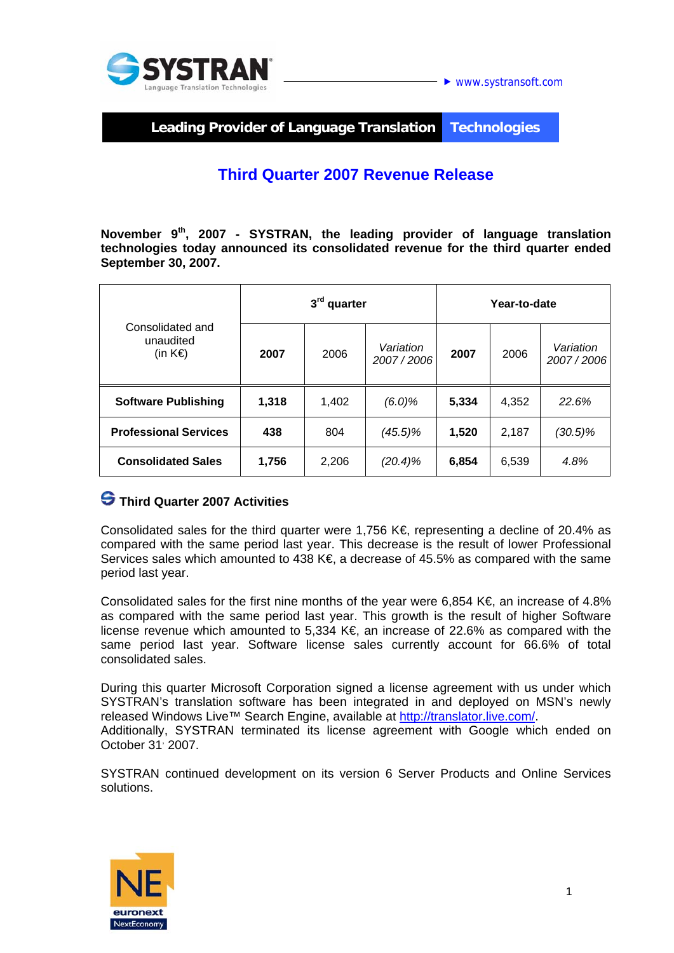



**Leading Provider of Language Translation Technologies** 

# **Third Quarter 2007 Revenue Release**

**November 9th, 2007 - SYSTRAN, the leading provider of language translation technologies today announced its consolidated revenue for the third quarter ended September 30, 2007.** 

| Consolidated and<br>unaudited<br>(in $K \in \mathbb{R}$ ) | 3rd quarter |       |                        | Year-to-date |       |                        |
|-----------------------------------------------------------|-------------|-------|------------------------|--------------|-------|------------------------|
|                                                           | 2007        | 2006  | Variation<br>2007/2006 | 2007         | 2006  | Variation<br>2007/2006 |
| <b>Software Publishing</b>                                | 1,318       | 1,402 | (6.0)%                 | 5,334        | 4,352 | 22.6%                  |
| <b>Professional Services</b>                              | 438         | 804   | (45.5)%                | 1,520        | 2,187 | $(30.5)\%$             |
| <b>Consolidated Sales</b>                                 | 1,756       | 2,206 | (20.4)%                | 6,854        | 6,539 | 4.8%                   |

### **Third Quarter 2007 Activities**

Consolidated sales for the third quarter were 1,756 K $\epsilon$  representing a decline of 20.4% as compared with the same period last year. This decrease is the result of lower Professional Services sales which amounted to 438 K $\epsilon$ , a decrease of 45.5% as compared with the same period last year.

Consolidated sales for the first nine months of the year were 6,854 K $\epsilon$ , an increase of 4.8% as compared with the same period last year. This growth is the result of higher Software license revenue which amounted to 5,334 K€, an increase of 22.6% as compared with the same period last year. Software license sales currently account for 66.6% of total consolidated sales.

During this quarter Microsoft Corporation signed a license agreement with us under which SYSTRAN's translation software has been integrated in and deployed on MSN's newly released Windows Live™ Search Engine, available at http://translator.live.com/.

Additionally, SYSTRAN terminated its license agreement with Google which ended on October 31<sup>,</sup> 2007.

SYSTRAN continued development on its version 6 Server Products and Online Services solutions.